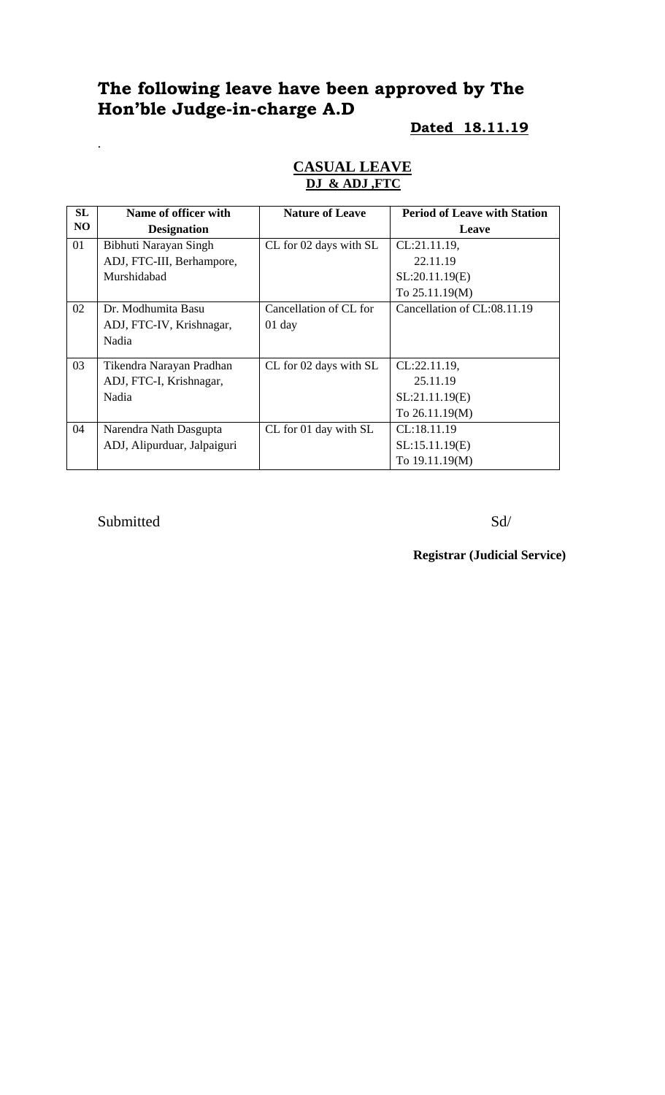# **The following leave have been approved by The Hon'ble Judge-in-charge A.D**

# **Dated 18.11.19**

#### **CASUAL LEAVE DJ & ADJ ,FTC**

| SL             | Name of officer with        | <b>Nature of Leave</b> | <b>Period of Leave with Station</b> |
|----------------|-----------------------------|------------------------|-------------------------------------|
| N <sub>O</sub> | <b>Designation</b>          |                        | Leave                               |
| 01             | Bibhuti Narayan Singh       | CL for 02 days with SL | CL:21.11.19,                        |
|                | ADJ, FTC-III, Berhampore,   |                        | 22.11.19                            |
|                | Murshidabad                 |                        | SL:20.11.19(E)                      |
|                |                             |                        | To 25.11.19(M)                      |
| 02             | Dr. Modhumita Basu          | Cancellation of CL for | Cancellation of CL:08.11.19         |
|                | ADJ, FTC-IV, Krishnagar,    | $01$ day               |                                     |
|                | Nadia                       |                        |                                     |
| 03             | Tikendra Narayan Pradhan    | CL for 02 days with SL | $CL:22.11.19$ ,                     |
|                | ADJ, FTC-I, Krishnagar,     |                        | 25.11.19                            |
|                | Nadia                       |                        | SL:21.11.19(E)                      |
|                |                             |                        | To 26.11.19(M)                      |
| 04             | Narendra Nath Dasgupta      | CL for 01 day with SL  | CL:18.11.19                         |
|                | ADJ, Alipurduar, Jalpaiguri |                        | SL:15.11.19(E)                      |
|                |                             |                        | To 19.11.19(M)                      |

Submitted Sd/

.

**Registrar (Judicial Service)**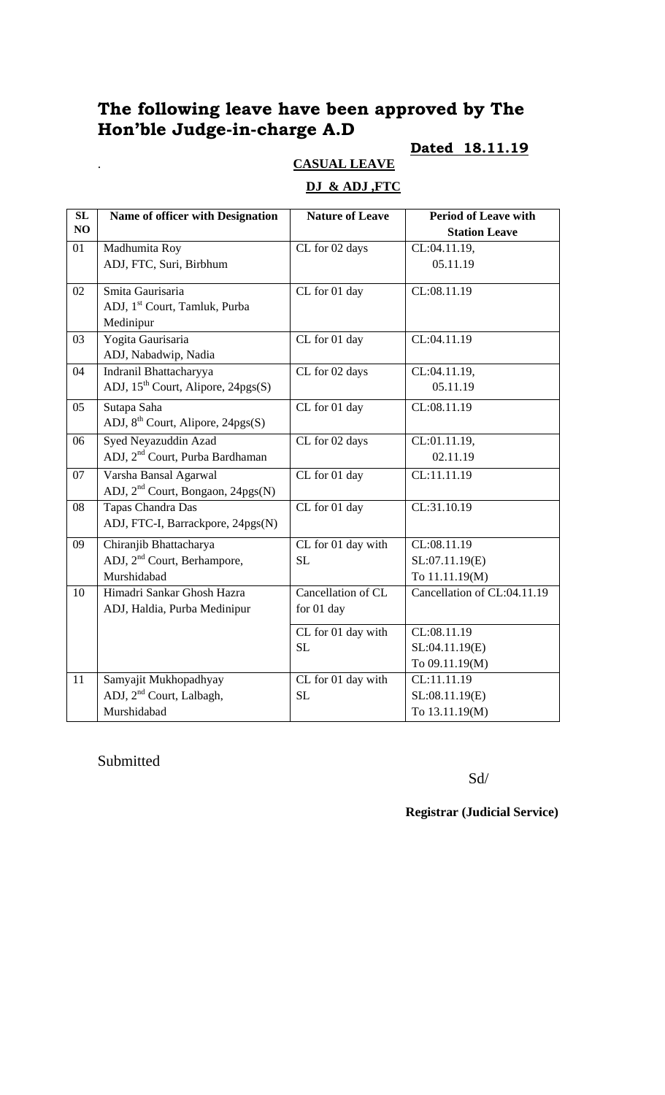# **The following leave have been approved by The Hon'ble Judge-in-charge A.D**

## **Dated 18.11.19**

# . **CASUAL LEAVE**

### **DJ & ADJ ,FTC**

| SL | Name of officer with Designation              | <b>Nature of Leave</b> | <b>Period of Leave with</b> |
|----|-----------------------------------------------|------------------------|-----------------------------|
| NO |                                               |                        | <b>Station Leave</b>        |
| 01 | Madhumita Roy                                 | CL for 02 days         | CL:04.11.19,                |
|    | ADJ, FTC, Suri, Birbhum                       |                        | 05.11.19                    |
| 02 | Smita Gaurisaria                              | CL for 01 day          | CL:08.11.19                 |
|    | ADJ, 1 <sup>st</sup> Court, Tamluk, Purba     |                        |                             |
|    | Medinipur                                     |                        |                             |
| 03 | Yogita Gaurisaria                             | CL for 01 day          | CL:04.11.19                 |
|    | ADJ, Nabadwip, Nadia                          |                        |                             |
| 04 | Indranil Bhattacharyya                        | CL for 02 days         | $\overline{CL}:04.11.19,$   |
|    | ADJ, $15^{th}$ Court, Alipore, $24pgs(S)$     |                        | 05.11.19                    |
| 05 | Sutapa Saha                                   | CL for 01 day          | CL:08.11.19                 |
|    | ADJ, 8 <sup>th</sup> Court, Alipore, 24pgs(S) |                        |                             |
| 06 | Syed Neyazuddin Azad                          | CL for 02 days         | CL:01.11.19,                |
|    | ADJ, 2 <sup>nd</sup> Court, Purba Bardhaman   |                        | 02.11.19                    |
| 07 | Varsha Bansal Agarwal                         | CL for 01 day          | CL:11.11.19                 |
|    | ADJ, 2 <sup>nd</sup> Court, Bongaon, 24pgs(N) |                        |                             |
| 08 | Tapas Chandra Das                             | CL for 01 day          | CL:31.10.19                 |
|    | ADJ, FTC-I, Barrackpore, 24pgs(N)             |                        |                             |
| 09 | Chiranjib Bhattacharya                        | CL for 01 day with     | CL:08.11.19                 |
|    | ADJ, 2 <sup>nd</sup> Court, Berhampore,       | <b>SL</b>              | SL:07.11.19(E)              |
|    | Murshidabad                                   |                        | To 11.11.19(M)              |
| 10 | Himadri Sankar Ghosh Hazra                    | Cancellation of CL     | Cancellation of CL:04.11.19 |
|    | ADJ, Haldia, Purba Medinipur                  | for 01 day             |                             |
|    |                                               | CL for 01 day with     | CL:08.11.19                 |
|    |                                               | <b>SL</b>              | SL:04.11.19(E)              |
|    |                                               |                        | To 09.11.19(M)              |
| 11 | Samyajit Mukhopadhyay                         | CL for 01 day with     | CL:11.11.19                 |
|    | ADJ, 2 <sup>nd</sup> Court, Lalbagh,          | SL                     | SL:08.11.19(E)              |
|    | Murshidabad                                   |                        | To 13.11.19(M)              |

#### Submitted

Sd/

#### **Registrar (Judicial Service)**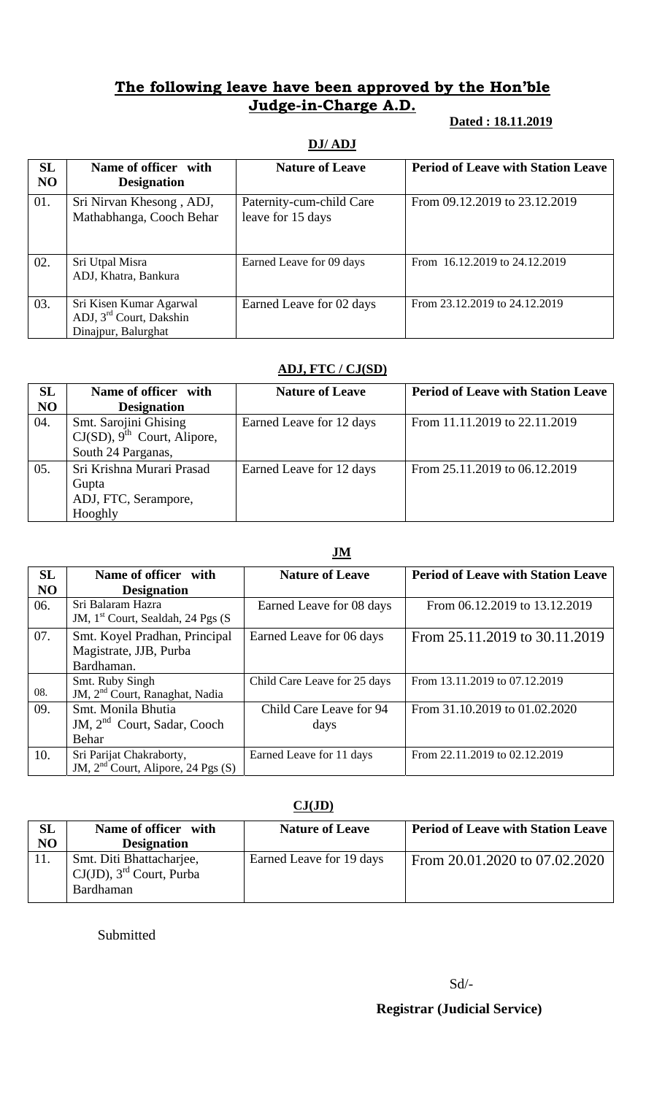## **The following leave have been approved by the Hon'ble Judge-in-Charge A.D.**

#### **Dated : 18.11.2019**

#### **DJ/ ADJ**

| SL<br>N <sub>O</sub> | Name of officer with<br><b>Designation</b>                                            | <b>Nature of Leave</b>                        | <b>Period of Leave with Station Leave</b> |
|----------------------|---------------------------------------------------------------------------------------|-----------------------------------------------|-------------------------------------------|
| 01.                  | Sri Nirvan Khesong, ADJ,<br>Mathabhanga, Cooch Behar                                  | Paternity-cum-child Care<br>leave for 15 days | From 09.12.2019 to 23.12.2019             |
| 02.                  | Sri Utpal Misra<br>ADJ, Khatra, Bankura                                               | Earned Leave for 09 days                      | From 16.12.2019 to 24.12.2019             |
| 03.                  | Sri Kisen Kumar Agarwal<br>ADJ, 3 <sup>rd</sup> Court, Dakshin<br>Dinajpur, Balurghat | Earned Leave for 02 days                      | From 23.12.2019 to 24.12.2019             |

### **ADJ, FTC / CJ(SD)**

| SL             | Name of officer with                       | <b>Nature of Leave</b>   | <b>Period of Leave with Station Leave</b> |
|----------------|--------------------------------------------|--------------------------|-------------------------------------------|
| N <sub>O</sub> | <b>Designation</b>                         |                          |                                           |
| 04.            | Smt. Sarojini Ghising                      | Earned Leave for 12 days | From 11.11.2019 to 22.11.2019             |
|                | $CJ(SD)$ , 9 <sup>th</sup> Court, Alipore, |                          |                                           |
|                | South 24 Parganas,                         |                          |                                           |
| 05.            | Sri Krishna Murari Prasad                  | Earned Leave for 12 days | From 25.11.2019 to 06.12.2019             |
|                | Gupta                                      |                          |                                           |
|                | ADJ, FTC, Serampore,                       |                          |                                           |
|                | Hooghly                                    |                          |                                           |

#### **JM**

| SL             | Name of officer with                                                   | <b>Nature of Leave</b>          | <b>Period of Leave with Station Leave</b> |
|----------------|------------------------------------------------------------------------|---------------------------------|-------------------------------------------|
| N <sub>O</sub> | <b>Designation</b>                                                     |                                 |                                           |
| 06.            | Sri Balaram Hazra<br>JM, 1 <sup>st</sup> Court, Sealdah, 24 Pgs (S)    | Earned Leave for 08 days        | From 06.12.2019 to 13.12.2019             |
| 07.            | Smt. Koyel Pradhan, Principal<br>Magistrate, JJB, Purba<br>Bardhaman.  | Earned Leave for 06 days        | From 25.11.2019 to 30.11.2019             |
| 08.            | Smt. Ruby Singh<br>JM, 2 <sup>nd</sup> Court, Ranaghat, Nadia          | Child Care Leave for 25 days    | From 13.11.2019 to 07.12.2019             |
| 09.            | Smt. Monila Bhutia<br>JM, 2 <sup>nd</sup> Court, Sadar, Cooch<br>Behar | Child Care Leave for 94<br>days | From 31.10.2019 to 01.02.2020             |
| 10.            | Sri Parijat Chakraborty,<br>JM, $2nd$ Court, Alipore, 24 Pgs (S)       | Earned Leave for 11 days        | From 22.11.2019 to 02.12.2019             |

#### **CJ(JD)**

| <b>SL</b><br>NO | Name of officer with<br><b>Designation</b>                                       | <b>Nature of Leave</b>   | <b>Period of Leave with Station Leave</b> |
|-----------------|----------------------------------------------------------------------------------|--------------------------|-------------------------------------------|
|                 | Smt. Diti Bhattacharjee,<br>$CJ(JD)$ , 3 <sup>rd</sup> Court, Purba<br>Bardhaman | Earned Leave for 19 days | From 20.01.2020 to 07.02.2020             |

Submitted

## **Registrar (Judicial Service)**